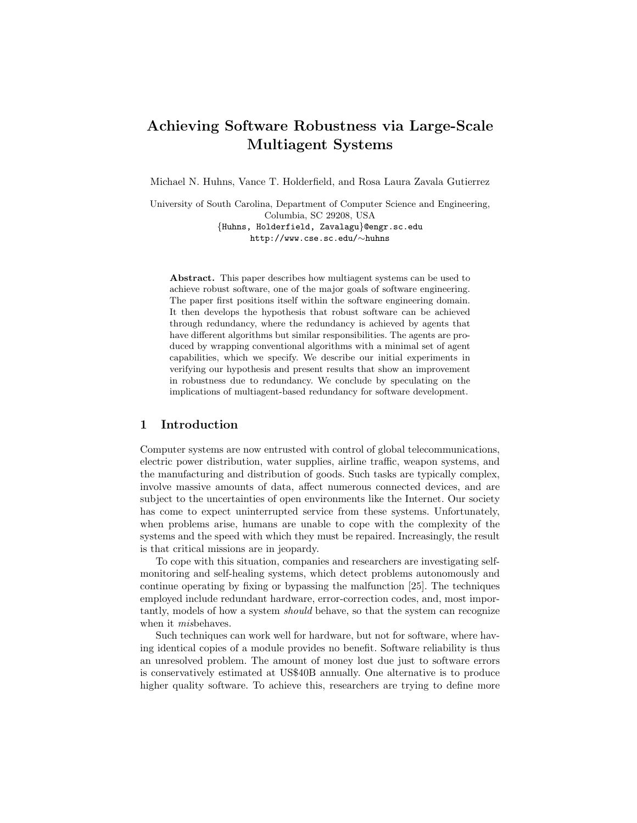# Achieving Software Robustness via Large-Scale Multiagent Systems

Michael N. Huhns, Vance T. Holderfield, and Rosa Laura Zavala Gutierrez

University of South Carolina, Department of Computer Science and Engineering, Columbia, SC 29208, USA

{Huhns, Holderfield, Zavalagu}@engr.sc.edu http://www.cse.sc.edu/∼huhns

Abstract. This paper describes how multiagent systems can be used to achieve robust software, one of the major goals of software engineering. The paper first positions itself within the software engineering domain. It then develops the hypothesis that robust software can be achieved through redundancy, where the redundancy is achieved by agents that have different algorithms but similar responsibilities. The agents are produced by wrapping conventional algorithms with a minimal set of agent capabilities, which we specify. We describe our initial experiments in verifying our hypothesis and present results that show an improvement in robustness due to redundancy. We conclude by speculating on the implications of multiagent-based redundancy for software development.

## 1 Introduction

Computer systems are now entrusted with control of global telecommunications, electric power distribution, water supplies, airline traffic, weapon systems, and the manufacturing and distribution of goods. Such tasks are typically complex, involve massive amounts of data, affect numerous connected devices, and are subject to the uncertainties of open environments like the Internet. Our society has come to expect uninterrupted service from these systems. Unfortunately, when problems arise, humans are unable to cope with the complexity of the systems and the speed with which they must be repaired. Increasingly, the result is that critical missions are in jeopardy.

To cope with this situation, companies and researchers are investigating selfmonitoring and self-healing systems, which detect problems autonomously and continue operating by fixing or bypassing the malfunction [25]. The techniques employed include redundant hardware, error-correction codes, and, most importantly, models of how a system should behave, so that the system can recognize when it *mis*behaves.

Such techniques can work well for hardware, but not for software, where having identical copies of a module provides no benefit. Software reliability is thus an unresolved problem. The amount of money lost due just to software errors is conservatively estimated at US\$40B annually. One alternative is to produce higher quality software. To achieve this, researchers are trying to define more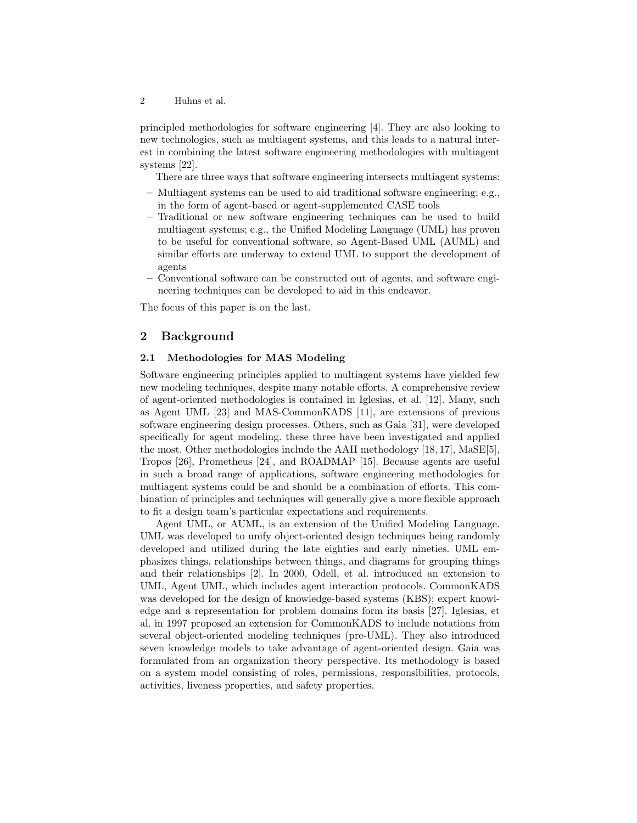principled methodologies for software engineering [4]. They are also looking to new technologies, such as multiagent systems, and this leads to a natural interest in combining the latest software engineering methodologies with multiagent systems [22].

There are three ways that software engineering intersects multiagent systems:

- Multiagent systems can be used to aid traditional software engineering; e.g., in the form of agent-based or agent-supplemented CASE tools
- Traditional or new software engineering techniques can be used to build multiagent systems; e.g., the Unified Modeling Language (UML) has proven to be useful for conventional software, so Agent-Based UML (AUML) and similar efforts are underway to extend UML to support the development of agents
- Conventional software can be constructed out of agents, and software engineering techniques can be developed to aid in this endeavor.

The focus of this paper is on the last.

## 2 Background

## 2.1 Methodologies for MAS Modeling

Software engineering principles applied to multiagent systems have yielded few new modeling techniques, despite many notable efforts. A comprehensive review of agent-oriented methodologies is contained in Iglesias, et al. [12]. Many, such as Agent UML [23] and MAS-CommonKADS [11], are extensions of previous software engineering design processes. Others, such as Gaia [31], were developed specifically for agent modeling. these three have been investigated and applied the most. Other methodologies include the AAII methodology [18, 17], MaSE[5], Tropos [26], Prometheus [24], and ROADMAP [15]. Because agents are useful in such a broad range of applications, software engineering methodologies for multiagent systems could be and should be a combination of efforts. This combination of principles and techniques will generally give a more flexible approach to fit a design team's particular expectations and requirements.

Agent UML, or AUML, is an extension of the Unified Modeling Language. UML was developed to unify object-oriented design techniques being randomly developed and utilized during the late eighties and early nineties. UML emphasizes things, relationships between things, and diagrams for grouping things and their relationships [2]. In 2000, Odell, et al. introduced an extension to UML, Agent UML, which includes agent interaction protocols. CommonKADS was developed for the design of knowledge-based systems (KBS); expert knowledge and a representation for problem domains form its basis [27]. Iglesias, et al. in 1997 proposed an extension for CommonKADS to include notations from several object-oriented modeling techniques (pre-UML). They also introduced seven knowledge models to take advantage of agent-oriented design. Gaia was formulated from an organization theory perspective. Its methodology is based on a system model consisting of roles, permissions, responsibilities, protocols, activities, liveness properties, and safety properties.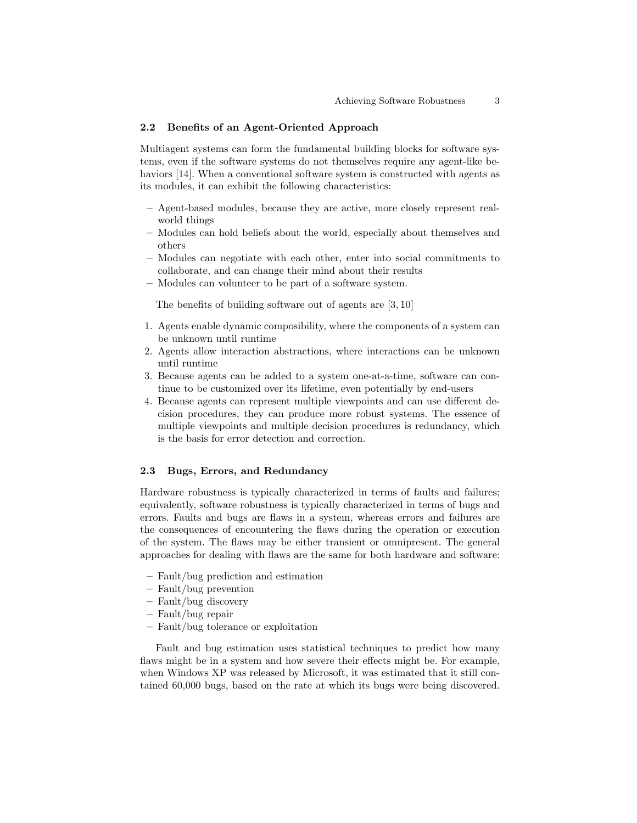## 2.2 Benefits of an Agent-Oriented Approach

Multiagent systems can form the fundamental building blocks for software systems, even if the software systems do not themselves require any agent-like behaviors [14]. When a conventional software system is constructed with agents as its modules, it can exhibit the following characteristics:

- Agent-based modules, because they are active, more closely represent realworld things
- Modules can hold beliefs about the world, especially about themselves and others
- Modules can negotiate with each other, enter into social commitments to collaborate, and can change their mind about their results
- Modules can volunteer to be part of a software system.

The benefits of building software out of agents are [3, 10]

- 1. Agents enable dynamic composibility, where the components of a system can be unknown until runtime
- 2. Agents allow interaction abstractions, where interactions can be unknown until runtime
- 3. Because agents can be added to a system one-at-a-time, software can continue to be customized over its lifetime, even potentially by end-users
- 4. Because agents can represent multiple viewpoints and can use different decision procedures, they can produce more robust systems. The essence of multiple viewpoints and multiple decision procedures is redundancy, which is the basis for error detection and correction.

#### 2.3 Bugs, Errors, and Redundancy

Hardware robustness is typically characterized in terms of faults and failures; equivalently, software robustness is typically characterized in terms of bugs and errors. Faults and bugs are flaws in a system, whereas errors and failures are the consequences of encountering the flaws during the operation or execution of the system. The flaws may be either transient or omnipresent. The general approaches for dealing with flaws are the same for both hardware and software:

- Fault/bug prediction and estimation
- Fault/bug prevention
- Fault/bug discovery
- Fault/bug repair
- Fault/bug tolerance or exploitation

Fault and bug estimation uses statistical techniques to predict how many flaws might be in a system and how severe their effects might be. For example, when Windows XP was released by Microsoft, it was estimated that it still contained 60,000 bugs, based on the rate at which its bugs were being discovered.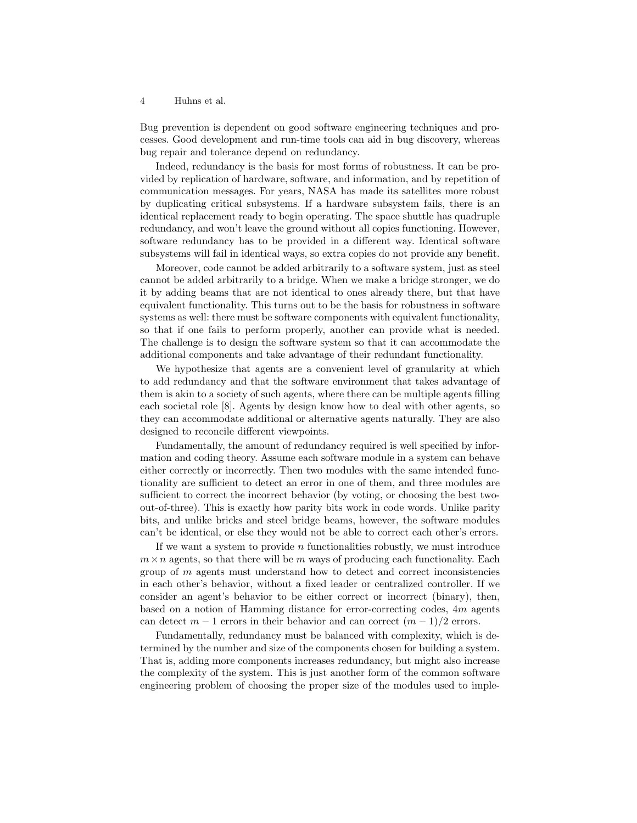Bug prevention is dependent on good software engineering techniques and processes. Good development and run-time tools can aid in bug discovery, whereas bug repair and tolerance depend on redundancy.

Indeed, redundancy is the basis for most forms of robustness. It can be provided by replication of hardware, software, and information, and by repetition of communication messages. For years, NASA has made its satellites more robust by duplicating critical subsystems. If a hardware subsystem fails, there is an identical replacement ready to begin operating. The space shuttle has quadruple redundancy, and won't leave the ground without all copies functioning. However, software redundancy has to be provided in a different way. Identical software subsystems will fail in identical ways, so extra copies do not provide any benefit.

Moreover, code cannot be added arbitrarily to a software system, just as steel cannot be added arbitrarily to a bridge. When we make a bridge stronger, we do it by adding beams that are not identical to ones already there, but that have equivalent functionality. This turns out to be the basis for robustness in software systems as well: there must be software components with equivalent functionality, so that if one fails to perform properly, another can provide what is needed. The challenge is to design the software system so that it can accommodate the additional components and take advantage of their redundant functionality.

We hypothesize that agents are a convenient level of granularity at which to add redundancy and that the software environment that takes advantage of them is akin to a society of such agents, where there can be multiple agents filling each societal role [8]. Agents by design know how to deal with other agents, so they can accommodate additional or alternative agents naturally. They are also designed to reconcile different viewpoints.

Fundamentally, the amount of redundancy required is well specified by information and coding theory. Assume each software module in a system can behave either correctly or incorrectly. Then two modules with the same intended functionality are sufficient to detect an error in one of them, and three modules are sufficient to correct the incorrect behavior (by voting, or choosing the best twoout-of-three). This is exactly how parity bits work in code words. Unlike parity bits, and unlike bricks and steel bridge beams, however, the software modules can't be identical, or else they would not be able to correct each other's errors.

If we want a system to provide  $n$  functionalities robustly, we must introduce  $m \times n$  agents, so that there will be m ways of producing each functionality. Each group of m agents must understand how to detect and correct inconsistencies in each other's behavior, without a fixed leader or centralized controller. If we consider an agent's behavior to be either correct or incorrect (binary), then, based on a notion of Hamming distance for error-correcting codes, 4m agents can detect  $m-1$  errors in their behavior and can correct  $(m-1)/2$  errors.

Fundamentally, redundancy must be balanced with complexity, which is determined by the number and size of the components chosen for building a system. That is, adding more components increases redundancy, but might also increase the complexity of the system. This is just another form of the common software engineering problem of choosing the proper size of the modules used to imple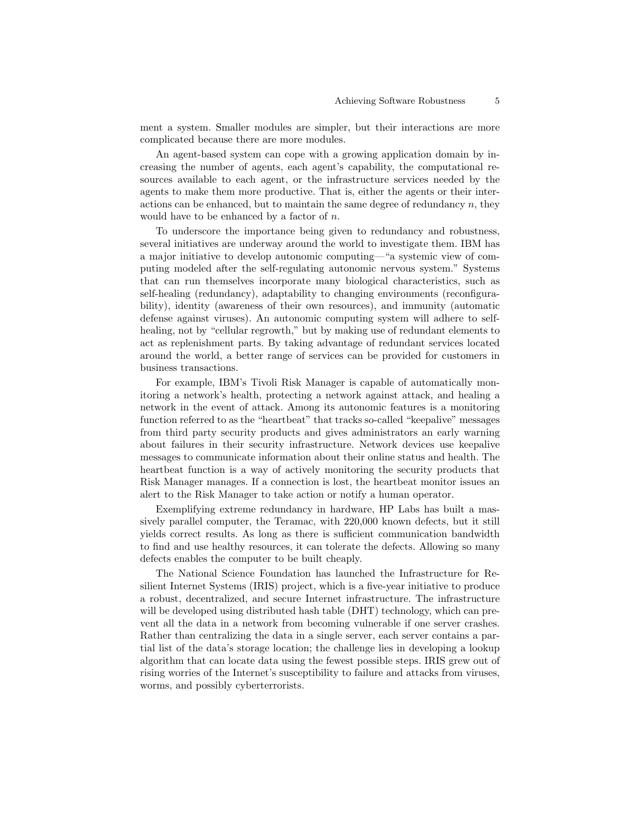ment a system. Smaller modules are simpler, but their interactions are more complicated because there are more modules.

An agent-based system can cope with a growing application domain by increasing the number of agents, each agent's capability, the computational resources available to each agent, or the infrastructure services needed by the agents to make them more productive. That is, either the agents or their interactions can be enhanced, but to maintain the same degree of redundancy  $n$ , they would have to be enhanced by a factor of  $n$ .

To underscore the importance being given to redundancy and robustness, several initiatives are underway around the world to investigate them. IBM has a major initiative to develop autonomic computing—"a systemic view of computing modeled after the self-regulating autonomic nervous system." Systems that can run themselves incorporate many biological characteristics, such as self-healing (redundancy), adaptability to changing environments (reconfigurability), identity (awareness of their own resources), and immunity (automatic defense against viruses). An autonomic computing system will adhere to selfhealing, not by "cellular regrowth," but by making use of redundant elements to act as replenishment parts. By taking advantage of redundant services located around the world, a better range of services can be provided for customers in business transactions.

For example, IBM's Tivoli Risk Manager is capable of automatically monitoring a network's health, protecting a network against attack, and healing a network in the event of attack. Among its autonomic features is a monitoring function referred to as the "heartbeat" that tracks so-called "keepalive" messages from third party security products and gives administrators an early warning about failures in their security infrastructure. Network devices use keepalive messages to communicate information about their online status and health. The heartbeat function is a way of actively monitoring the security products that Risk Manager manages. If a connection is lost, the heartbeat monitor issues an alert to the Risk Manager to take action or notify a human operator.

Exemplifying extreme redundancy in hardware, HP Labs has built a massively parallel computer, the Teramac, with 220,000 known defects, but it still yields correct results. As long as there is sufficient communication bandwidth to find and use healthy resources, it can tolerate the defects. Allowing so many defects enables the computer to be built cheaply.

The National Science Foundation has launched the Infrastructure for Resilient Internet Systems (IRIS) project, which is a five-year initiative to produce a robust, decentralized, and secure Internet infrastructure. The infrastructure will be developed using distributed hash table (DHT) technology, which can prevent all the data in a network from becoming vulnerable if one server crashes. Rather than centralizing the data in a single server, each server contains a partial list of the data's storage location; the challenge lies in developing a lookup algorithm that can locate data using the fewest possible steps. IRIS grew out of rising worries of the Internet's susceptibility to failure and attacks from viruses, worms, and possibly cyberterrorists.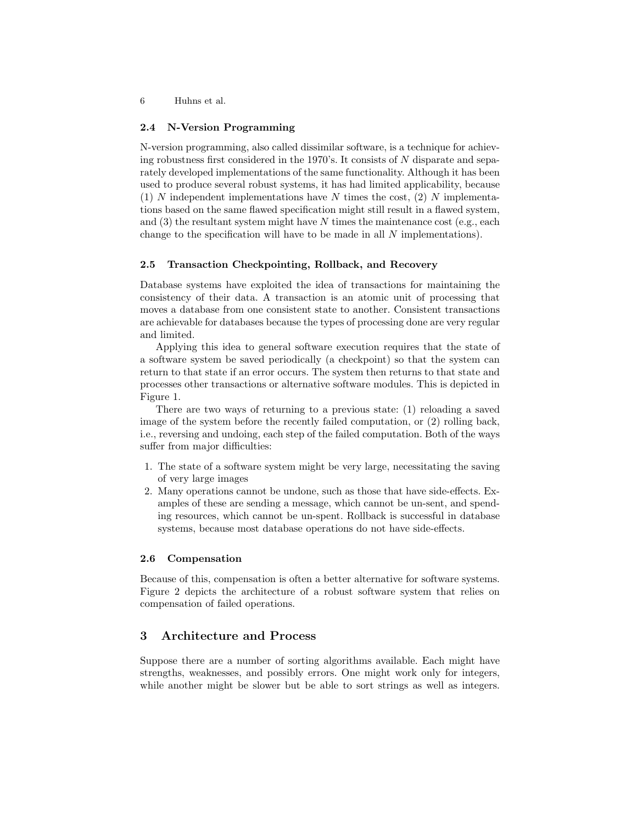### 2.4 N-Version Programming

N-version programming, also called dissimilar software, is a technique for achieving robustness first considered in the 1970's. It consists of  $N$  disparate and separately developed implementations of the same functionality. Although it has been used to produce several robust systems, it has had limited applicability, because (1) N independent implementations have N times the cost, (2) N implementations based on the same flawed specification might still result in a flawed system, and  $(3)$  the resultant system might have N times the maintenance cost (e.g., each change to the specification will have to be made in all N implementations).

### 2.5 Transaction Checkpointing, Rollback, and Recovery

Database systems have exploited the idea of transactions for maintaining the consistency of their data. A transaction is an atomic unit of processing that moves a database from one consistent state to another. Consistent transactions are achievable for databases because the types of processing done are very regular and limited.

Applying this idea to general software execution requires that the state of a software system be saved periodically (a checkpoint) so that the system can return to that state if an error occurs. The system then returns to that state and processes other transactions or alternative software modules. This is depicted in Figure 1.

There are two ways of returning to a previous state: (1) reloading a saved image of the system before the recently failed computation, or (2) rolling back, i.e., reversing and undoing, each step of the failed computation. Both of the ways suffer from major difficulties:

- 1. The state of a software system might be very large, necessitating the saving of very large images
- 2. Many operations cannot be undone, such as those that have side-effects. Examples of these are sending a message, which cannot be un-sent, and spending resources, which cannot be un-spent. Rollback is successful in database systems, because most database operations do not have side-effects.

## 2.6 Compensation

Because of this, compensation is often a better alternative for software systems. Figure 2 depicts the architecture of a robust software system that relies on compensation of failed operations.

# 3 Architecture and Process

Suppose there are a number of sorting algorithms available. Each might have strengths, weaknesses, and possibly errors. One might work only for integers, while another might be slower but be able to sort strings as well as integers.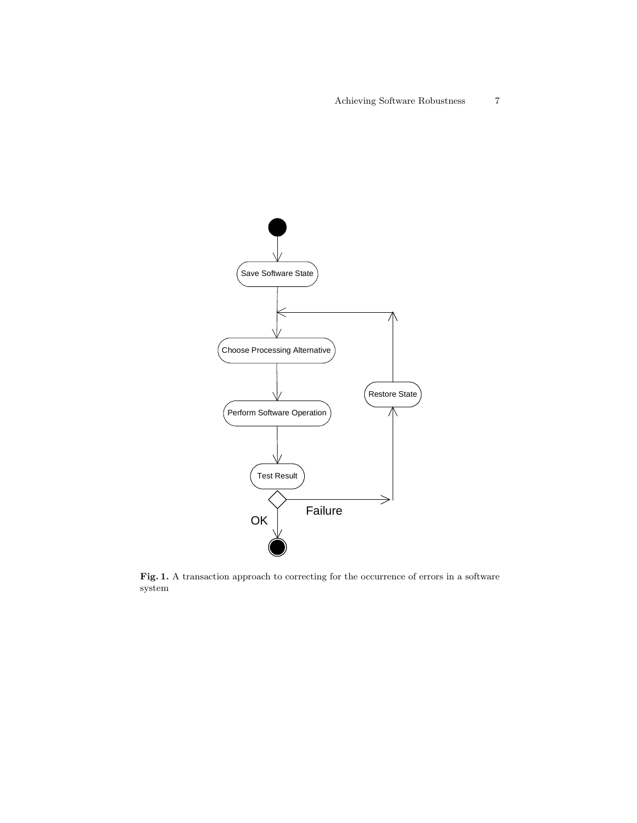

Fig. 1. A transaction approach to correcting for the occurrence of errors in a software system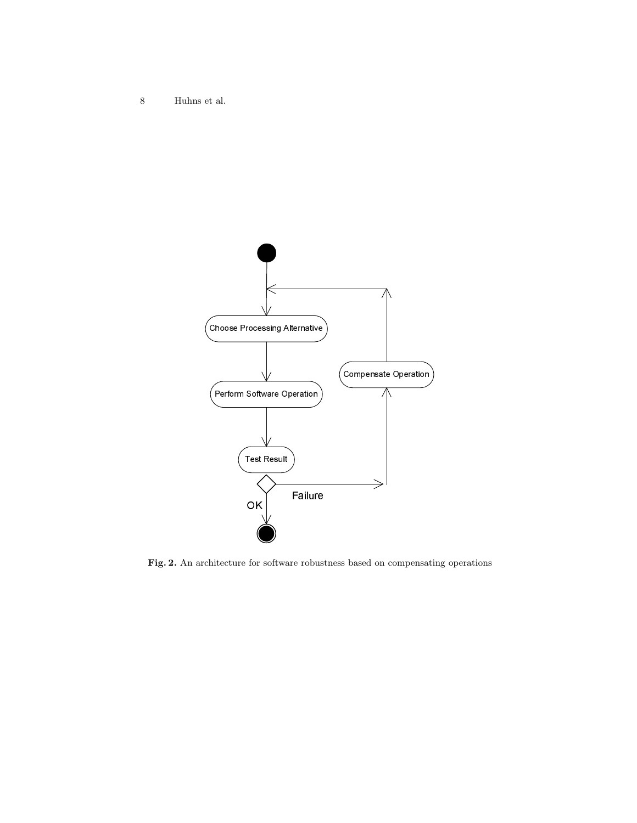8 Huhns et al.



Fig. 2. An architecture for software robustness based on compensating operations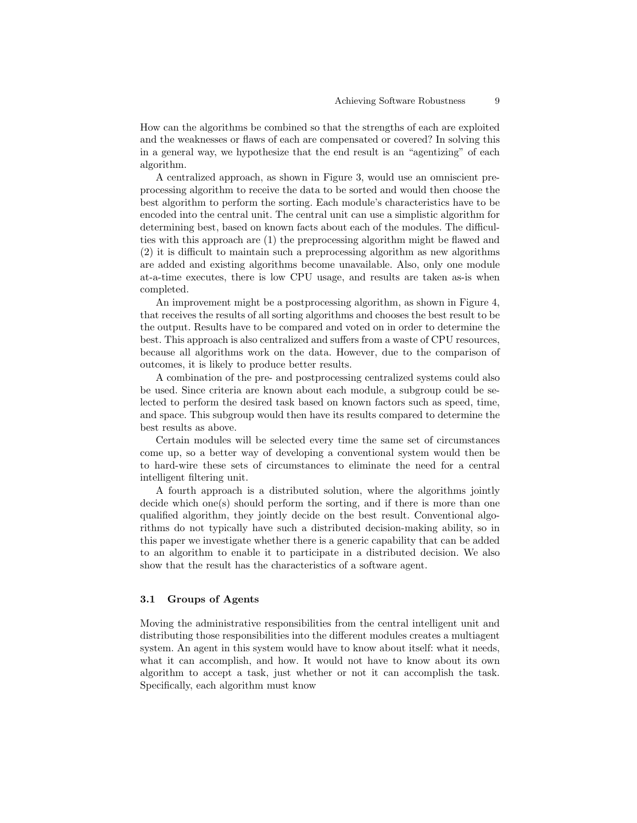How can the algorithms be combined so that the strengths of each are exploited and the weaknesses or flaws of each are compensated or covered? In solving this in a general way, we hypothesize that the end result is an "agentizing" of each algorithm.

A centralized approach, as shown in Figure 3, would use an omniscient preprocessing algorithm to receive the data to be sorted and would then choose the best algorithm to perform the sorting. Each module's characteristics have to be encoded into the central unit. The central unit can use a simplistic algorithm for determining best, based on known facts about each of the modules. The difficulties with this approach are (1) the preprocessing algorithm might be flawed and (2) it is difficult to maintain such a preprocessing algorithm as new algorithms are added and existing algorithms become unavailable. Also, only one module at-a-time executes, there is low CPU usage, and results are taken as-is when completed.

An improvement might be a postprocessing algorithm, as shown in Figure 4, that receives the results of all sorting algorithms and chooses the best result to be the output. Results have to be compared and voted on in order to determine the best. This approach is also centralized and suffers from a waste of CPU resources, because all algorithms work on the data. However, due to the comparison of outcomes, it is likely to produce better results.

A combination of the pre- and postprocessing centralized systems could also be used. Since criteria are known about each module, a subgroup could be selected to perform the desired task based on known factors such as speed, time, and space. This subgroup would then have its results compared to determine the best results as above.

Certain modules will be selected every time the same set of circumstances come up, so a better way of developing a conventional system would then be to hard-wire these sets of circumstances to eliminate the need for a central intelligent filtering unit.

A fourth approach is a distributed solution, where the algorithms jointly decide which one(s) should perform the sorting, and if there is more than one qualified algorithm, they jointly decide on the best result. Conventional algorithms do not typically have such a distributed decision-making ability, so in this paper we investigate whether there is a generic capability that can be added to an algorithm to enable it to participate in a distributed decision. We also show that the result has the characteristics of a software agent.

#### 3.1 Groups of Agents

Moving the administrative responsibilities from the central intelligent unit and distributing those responsibilities into the different modules creates a multiagent system. An agent in this system would have to know about itself: what it needs, what it can accomplish, and how. It would not have to know about its own algorithm to accept a task, just whether or not it can accomplish the task. Specifically, each algorithm must know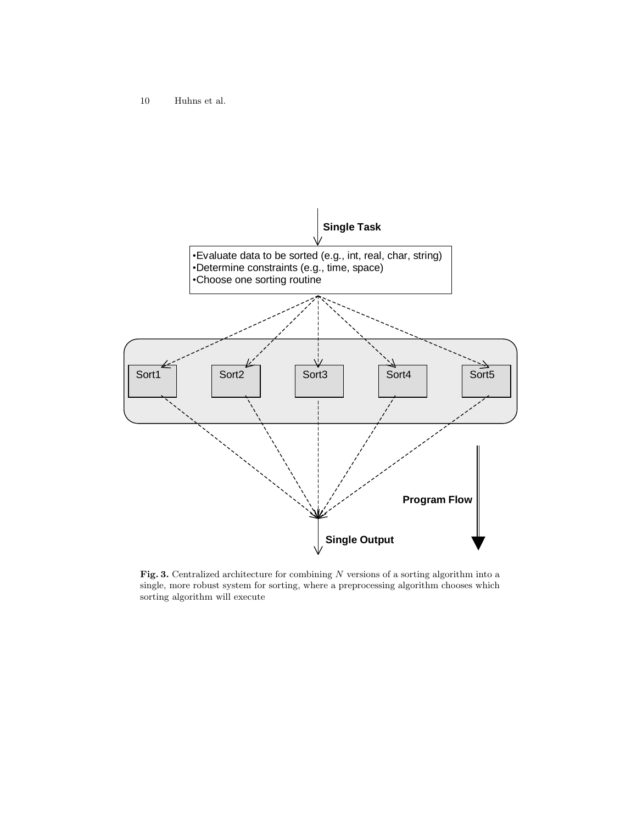

Fig. 3. Centralized architecture for combining  $N$  versions of a sorting algorithm into a single, more robust system for sorting, where a preprocessing algorithm chooses which sorting algorithm will execute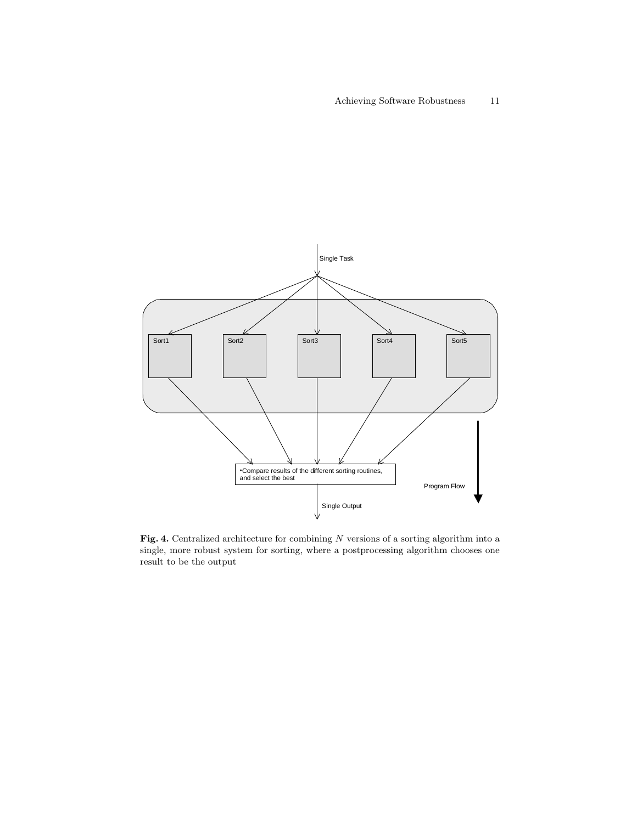

Fig. 4. Centralized architecture for combining  $N$  versions of a sorting algorithm into a single, more robust system for sorting, where a postprocessing algorithm chooses one result to be the output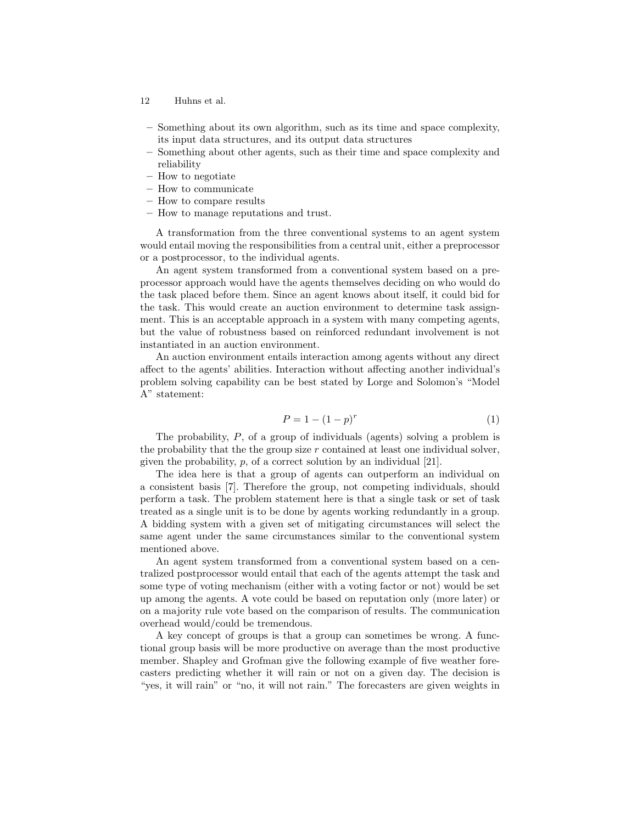- 12 Huhns et al.
- Something about its own algorithm, such as its time and space complexity, its input data structures, and its output data structures
- Something about other agents, such as their time and space complexity and reliability
- How to negotiate
- How to communicate
- How to compare results
- How to manage reputations and trust.

A transformation from the three conventional systems to an agent system would entail moving the responsibilities from a central unit, either a preprocessor or a postprocessor, to the individual agents.

An agent system transformed from a conventional system based on a preprocessor approach would have the agents themselves deciding on who would do the task placed before them. Since an agent knows about itself, it could bid for the task. This would create an auction environment to determine task assignment. This is an acceptable approach in a system with many competing agents, but the value of robustness based on reinforced redundant involvement is not instantiated in an auction environment.

An auction environment entails interaction among agents without any direct affect to the agents' abilities. Interaction without affecting another individual's problem solving capability can be best stated by Lorge and Solomon's "Model A" statement:

$$
P = 1 - (1 - p)^r \tag{1}
$$

The probability, P, of a group of individuals (agents) solving a problem is the probability that the the group size  $r$  contained at least one individual solver, given the probability,  $p$ , of a correct solution by an individual [21].

The idea here is that a group of agents can outperform an individual on a consistent basis [7]. Therefore the group, not competing individuals, should perform a task. The problem statement here is that a single task or set of task treated as a single unit is to be done by agents working redundantly in a group. A bidding system with a given set of mitigating circumstances will select the same agent under the same circumstances similar to the conventional system mentioned above.

An agent system transformed from a conventional system based on a centralized postprocessor would entail that each of the agents attempt the task and some type of voting mechanism (either with a voting factor or not) would be set up among the agents. A vote could be based on reputation only (more later) or on a majority rule vote based on the comparison of results. The communication overhead would/could be tremendous.

A key concept of groups is that a group can sometimes be wrong. A functional group basis will be more productive on average than the most productive member. Shapley and Grofman give the following example of five weather forecasters predicting whether it will rain or not on a given day. The decision is "yes, it will rain" or "no, it will not rain." The forecasters are given weights in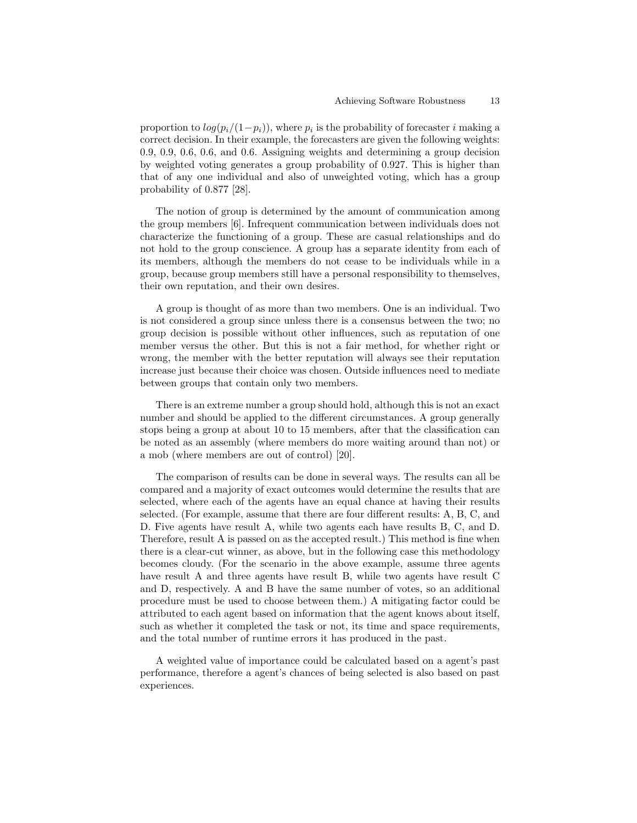proportion to  $log(p_i/(1-p_i))$ , where  $p_i$  is the probability of forecaster i making a correct decision. In their example, the forecasters are given the following weights: 0.9, 0.9, 0.6, 0.6, and 0.6. Assigning weights and determining a group decision by weighted voting generates a group probability of 0.927. This is higher than that of any one individual and also of unweighted voting, which has a group probability of 0.877 [28].

The notion of group is determined by the amount of communication among the group members [6]. Infrequent communication between individuals does not characterize the functioning of a group. These are casual relationships and do not hold to the group conscience. A group has a separate identity from each of its members, although the members do not cease to be individuals while in a group, because group members still have a personal responsibility to themselves, their own reputation, and their own desires.

A group is thought of as more than two members. One is an individual. Two is not considered a group since unless there is a consensus between the two; no group decision is possible without other influences, such as reputation of one member versus the other. But this is not a fair method, for whether right or wrong, the member with the better reputation will always see their reputation increase just because their choice was chosen. Outside influences need to mediate between groups that contain only two members.

There is an extreme number a group should hold, although this is not an exact number and should be applied to the different circumstances. A group generally stops being a group at about 10 to 15 members, after that the classification can be noted as an assembly (where members do more waiting around than not) or a mob (where members are out of control) [20].

The comparison of results can be done in several ways. The results can all be compared and a majority of exact outcomes would determine the results that are selected, where each of the agents have an equal chance at having their results selected. (For example, assume that there are four different results: A, B, C, and D. Five agents have result A, while two agents each have results B, C, and D. Therefore, result A is passed on as the accepted result.) This method is fine when there is a clear-cut winner, as above, but in the following case this methodology becomes cloudy. (For the scenario in the above example, assume three agents have result A and three agents have result B, while two agents have result C and D, respectively. A and B have the same number of votes, so an additional procedure must be used to choose between them.) A mitigating factor could be attributed to each agent based on information that the agent knows about itself, such as whether it completed the task or not, its time and space requirements, and the total number of runtime errors it has produced in the past.

A weighted value of importance could be calculated based on a agent's past performance, therefore a agent's chances of being selected is also based on past experiences.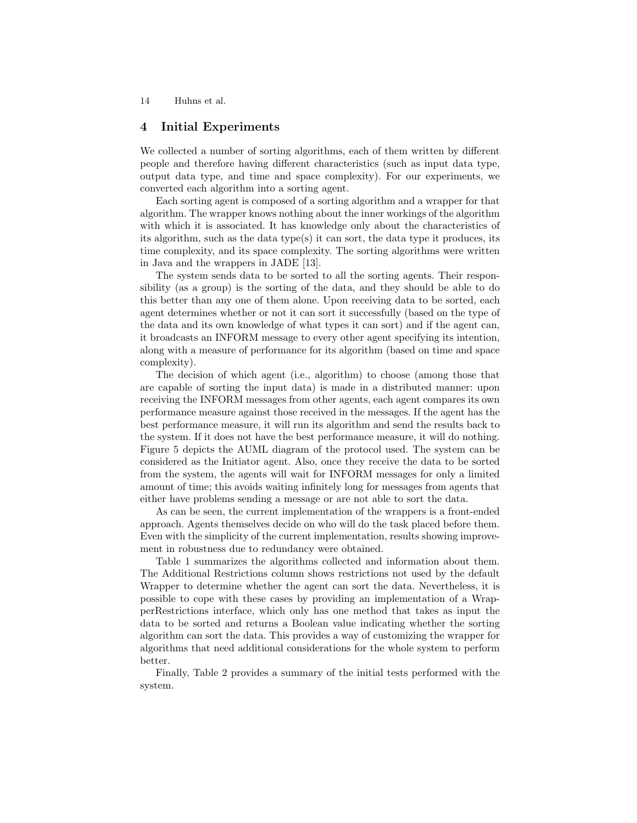## 4 Initial Experiments

We collected a number of sorting algorithms, each of them written by different people and therefore having different characteristics (such as input data type, output data type, and time and space complexity). For our experiments, we converted each algorithm into a sorting agent.

Each sorting agent is composed of a sorting algorithm and a wrapper for that algorithm. The wrapper knows nothing about the inner workings of the algorithm with which it is associated. It has knowledge only about the characteristics of its algorithm, such as the data type(s) it can sort, the data type it produces, its time complexity, and its space complexity. The sorting algorithms were written in Java and the wrappers in JADE [13].

The system sends data to be sorted to all the sorting agents. Their responsibility (as a group) is the sorting of the data, and they should be able to do this better than any one of them alone. Upon receiving data to be sorted, each agent determines whether or not it can sort it successfully (based on the type of the data and its own knowledge of what types it can sort) and if the agent can, it broadcasts an INFORM message to every other agent specifying its intention, along with a measure of performance for its algorithm (based on time and space complexity).

The decision of which agent (i.e., algorithm) to choose (among those that are capable of sorting the input data) is made in a distributed manner: upon receiving the INFORM messages from other agents, each agent compares its own performance measure against those received in the messages. If the agent has the best performance measure, it will run its algorithm and send the results back to the system. If it does not have the best performance measure, it will do nothing. Figure 5 depicts the AUML diagram of the protocol used. The system can be considered as the Initiator agent. Also, once they receive the data to be sorted from the system, the agents will wait for INFORM messages for only a limited amount of time; this avoids waiting infinitely long for messages from agents that either have problems sending a message or are not able to sort the data.

As can be seen, the current implementation of the wrappers is a front-ended approach. Agents themselves decide on who will do the task placed before them. Even with the simplicity of the current implementation, results showing improvement in robustness due to redundancy were obtained.

Table 1 summarizes the algorithms collected and information about them. The Additional Restrictions column shows restrictions not used by the default Wrapper to determine whether the agent can sort the data. Nevertheless, it is possible to cope with these cases by providing an implementation of a WrapperRestrictions interface, which only has one method that takes as input the data to be sorted and returns a Boolean value indicating whether the sorting algorithm can sort the data. This provides a way of customizing the wrapper for algorithms that need additional considerations for the whole system to perform better.

Finally, Table 2 provides a summary of the initial tests performed with the system.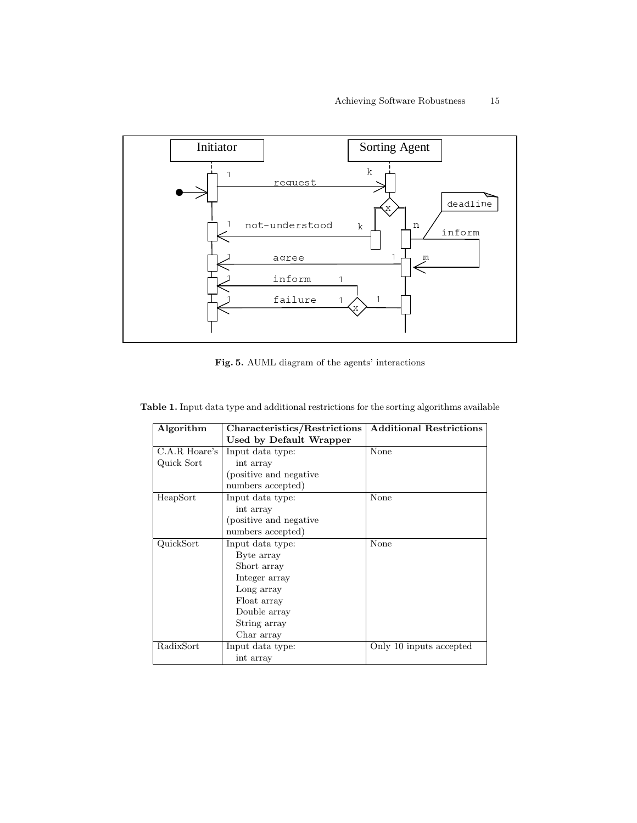

Fig. 5. AUML diagram of the agents' interactions

| Algorithm     | Characteristics/Restrictions | <b>Additional Restrictions</b> |
|---------------|------------------------------|--------------------------------|
|               | Used by Default Wrapper      |                                |
| C.A.R Hoare's | Input data type:             | None                           |
| Quick Sort    | int array                    |                                |
|               | (positive and negative)      |                                |
|               | numbers accepted)            |                                |
| HeapSort      | Input data type:             | None                           |
|               | int array                    |                                |
|               | (positive and negative)      |                                |
|               | numbers accepted)            |                                |
| QuickSort     | Input data type:             | None                           |
|               | Byte array                   |                                |
|               | Short array                  |                                |
|               | Integer array                |                                |
|               | Long array                   |                                |
|               | Float array                  |                                |
|               | Double array                 |                                |
|               | String array                 |                                |
|               | Char array                   |                                |
| RadixSort     | Input data type:             | Only 10 inputs accepted        |
|               | int array                    |                                |

Table 1. Input data type and additional restrictions for the sorting algorithms available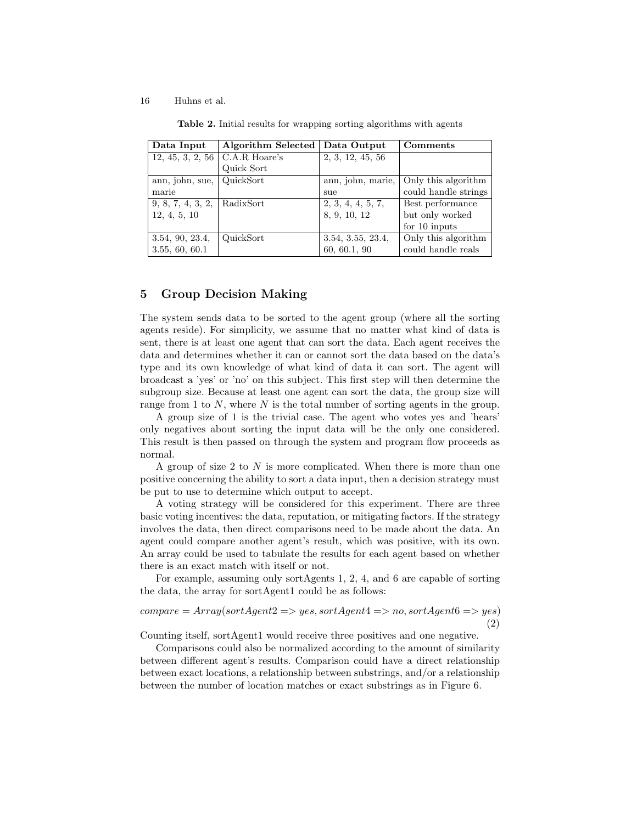| Data Input                                      | Algorithm Selected   Data Output |                   | Comments             |
|-------------------------------------------------|----------------------------------|-------------------|----------------------|
| 12, 45, 3, 2, 56 $\boxed{\text{C.A.R Hoare's}}$ |                                  | 2, 3, 12, 45, 56  |                      |
|                                                 | Quick Sort                       |                   |                      |
| ann, john, sue,                                 | QuickSort                        | ann, john, marie, | Only this algorithm  |
| marie                                           |                                  | sue               | could handle strings |
| 9, 8, 7, 4, 3, 2,                               | RadixSort                        | 2, 3, 4, 4, 5, 7, | Best performance     |
| 12, 4, 5, 10                                    |                                  | 8, 9, 10, 12      | but only worked      |
|                                                 |                                  |                   | for 10 inputs        |
| 3.54, 90, 23.4,                                 | QuickSort                        | 3.54, 3.55, 23.4, | Only this algorithm  |
| 3.55, 60, 60.1                                  |                                  | 60, 60.1, 90      | could handle reals   |

Table 2. Initial results for wrapping sorting algorithms with agents

## 5 Group Decision Making

The system sends data to be sorted to the agent group (where all the sorting agents reside). For simplicity, we assume that no matter what kind of data is sent, there is at least one agent that can sort the data. Each agent receives the data and determines whether it can or cannot sort the data based on the data's type and its own knowledge of what kind of data it can sort. The agent will broadcast a 'yes' or 'no' on this subject. This first step will then determine the subgroup size. Because at least one agent can sort the data, the group size will range from 1 to  $N$ , where  $N$  is the total number of sorting agents in the group.

A group size of 1 is the trivial case. The agent who votes yes and 'hears' only negatives about sorting the input data will be the only one considered. This result is then passed on through the system and program flow proceeds as normal.

A group of size 2 to  $N$  is more complicated. When there is more than one positive concerning the ability to sort a data input, then a decision strategy must be put to use to determine which output to accept.

A voting strategy will be considered for this experiment. There are three basic voting incentives: the data, reputation, or mitigating factors. If the strategy involves the data, then direct comparisons need to be made about the data. An agent could compare another agent's result, which was positive, with its own. An array could be used to tabulate the results for each agent based on whether there is an exact match with itself or not.

For example, assuming only sortAgents 1, 2, 4, and 6 are capable of sorting the data, the array for sortAgent1 could be as follows:

$$
compare = Array(sortAgent2 => yes, sortAgent4 => no, sortAgent6 => yes)
$$
\n(2)

Counting itself, sortAgent1 would receive three positives and one negative.

Comparisons could also be normalized according to the amount of similarity between different agent's results. Comparison could have a direct relationship between exact locations, a relationship between substrings, and/or a relationship between the number of location matches or exact substrings as in Figure 6.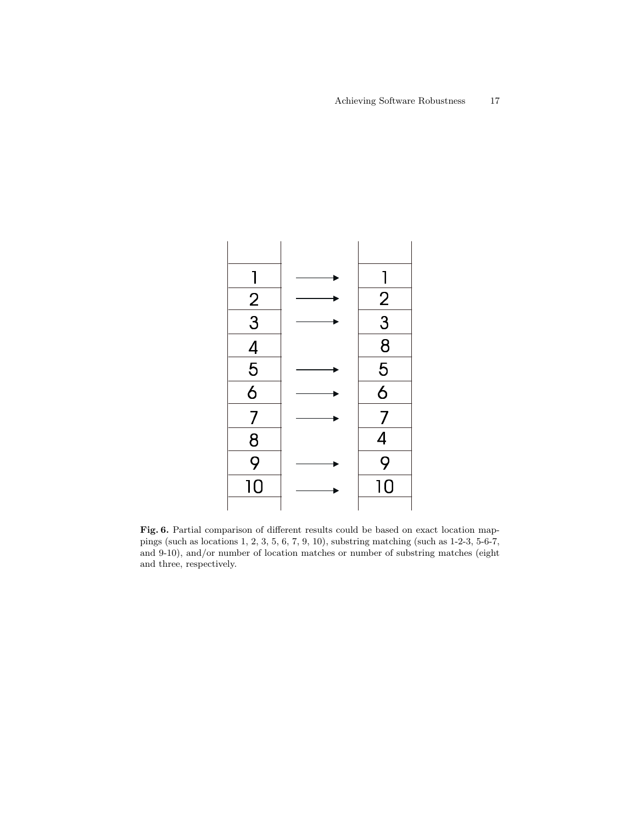

Fig. 6. Partial comparison of different results could be based on exact location mappings (such as locations 1, 2, 3, 5, 6, 7, 9, 10), substring matching (such as 1-2-3, 5-6-7, and 9-10), and/or number of location matches or number of substring matches (eight and three, respectively.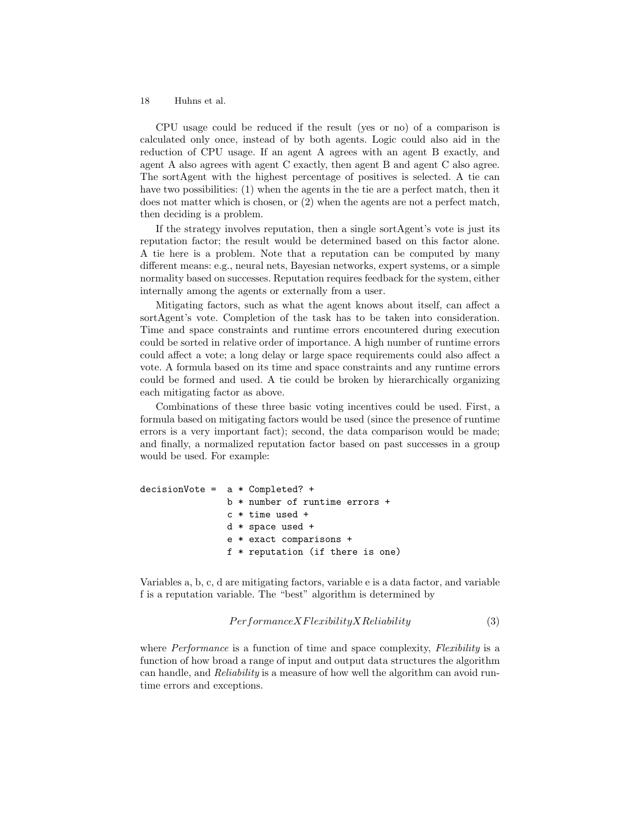CPU usage could be reduced if the result (yes or no) of a comparison is calculated only once, instead of by both agents. Logic could also aid in the reduction of CPU usage. If an agent A agrees with an agent B exactly, and agent A also agrees with agent C exactly, then agent B and agent C also agree. The sortAgent with the highest percentage of positives is selected. A tie can have two possibilities: (1) when the agents in the tie are a perfect match, then it does not matter which is chosen, or (2) when the agents are not a perfect match, then deciding is a problem.

If the strategy involves reputation, then a single sortAgent's vote is just its reputation factor; the result would be determined based on this factor alone. A tie here is a problem. Note that a reputation can be computed by many different means: e.g., neural nets, Bayesian networks, expert systems, or a simple normality based on successes. Reputation requires feedback for the system, either internally among the agents or externally from a user.

Mitigating factors, such as what the agent knows about itself, can affect a sortAgent's vote. Completion of the task has to be taken into consideration. Time and space constraints and runtime errors encountered during execution could be sorted in relative order of importance. A high number of runtime errors could affect a vote; a long delay or large space requirements could also affect a vote. A formula based on its time and space constraints and any runtime errors could be formed and used. A tie could be broken by hierarchically organizing each mitigating factor as above.

Combinations of these three basic voting incentives could be used. First, a formula based on mitigating factors would be used (since the presence of runtime errors is a very important fact); second, the data comparison would be made; and finally, a normalized reputation factor based on past successes in a group would be used. For example:

```
decisionVote = a * Completed? +
    b * number of runtime errors +
    c * time used +
    d * space used +
    e * exact comparisons +
    f * reputation (if there is one)
```
Variables a, b, c, d are mitigating factors, variable e is a data factor, and variable f is a reputation variable. The "best" algorithm is determined by

$$
PerformanceXFlexibilityXReliability \qquad (3)
$$

where *Performance* is a function of time and space complexity, *Flexibility* is a function of how broad a range of input and output data structures the algorithm can handle, and Reliability is a measure of how well the algorithm can avoid runtime errors and exceptions.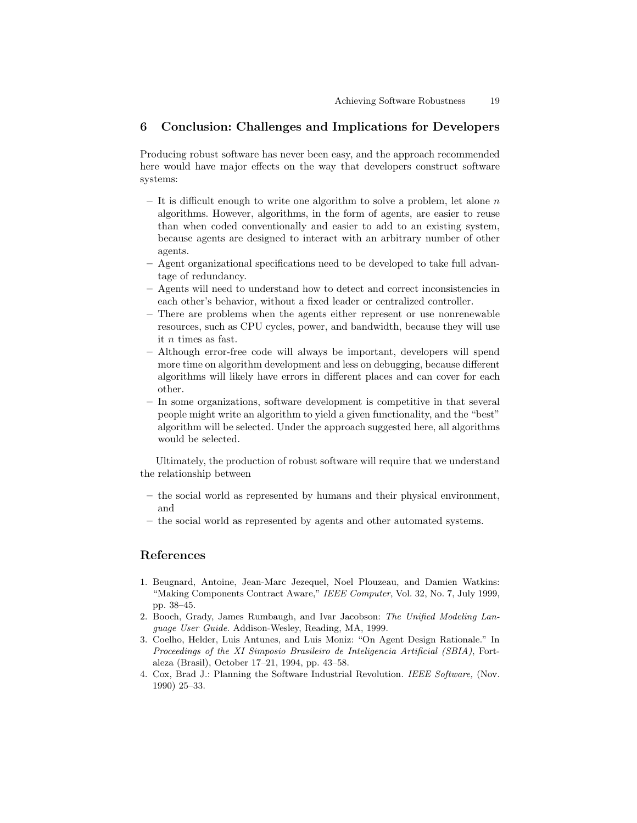# 6 Conclusion: Challenges and Implications for Developers

Producing robust software has never been easy, and the approach recommended here would have major effects on the way that developers construct software systems:

- It is difficult enough to write one algorithm to solve a problem, let alone  $n$ algorithms. However, algorithms, in the form of agents, are easier to reuse than when coded conventionally and easier to add to an existing system, because agents are designed to interact with an arbitrary number of other agents.
- Agent organizational specifications need to be developed to take full advantage of redundancy.
- Agents will need to understand how to detect and correct inconsistencies in each other's behavior, without a fixed leader or centralized controller.
- There are problems when the agents either represent or use nonrenewable resources, such as CPU cycles, power, and bandwidth, because they will use it n times as fast.
- Although error-free code will always be important, developers will spend more time on algorithm development and less on debugging, because different algorithms will likely have errors in different places and can cover for each other.
- In some organizations, software development is competitive in that several people might write an algorithm to yield a given functionality, and the "best" algorithm will be selected. Under the approach suggested here, all algorithms would be selected.

Ultimately, the production of robust software will require that we understand the relationship between

- the social world as represented by humans and their physical environment, and
- the social world as represented by agents and other automated systems.

# References

- 1. Beugnard, Antoine, Jean-Marc Jezequel, Noel Plouzeau, and Damien Watkins: "Making Components Contract Aware," IEEE Computer, Vol. 32, No. 7, July 1999, pp. 38–45.
- 2. Booch, Grady, James Rumbaugh, and Ivar Jacobson: The Unified Modeling Language User Guide. Addison-Wesley, Reading, MA, 1999.
- 3. Coelho, Helder, Luis Antunes, and Luis Moniz: "On Agent Design Rationale." In Proceedings of the XI Simposio Brasileiro de Inteligencia Artificial (SBIA), Fortaleza (Brasil), October 17–21, 1994, pp. 43–58.
- 4. Cox, Brad J.: Planning the Software Industrial Revolution. IEEE Software, (Nov. 1990) 25–33.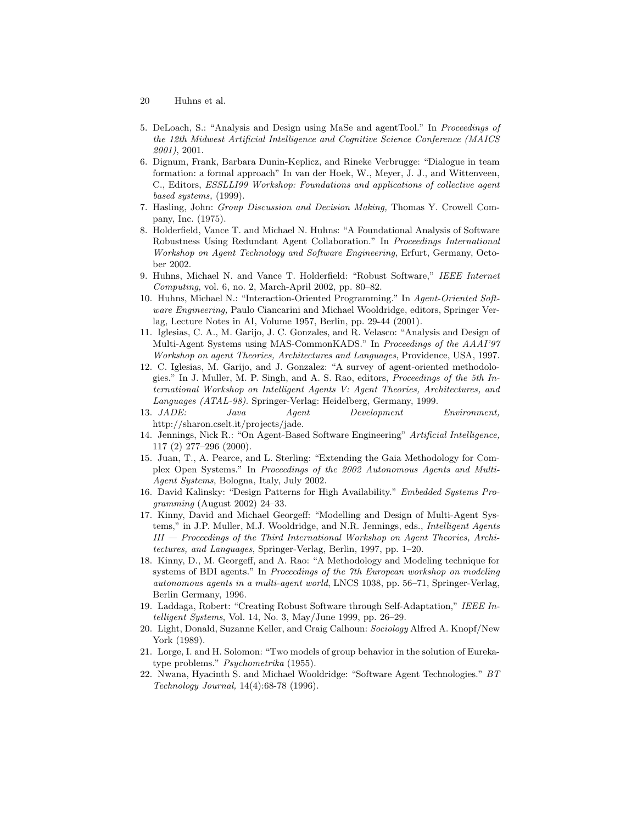- 20 Huhns et al.
- 5. DeLoach, S.: "Analysis and Design using MaSe and agentTool." In Proceedings of the 12th Midwest Artificial Intelligence and Cognitive Science Conference (MAICS 2001), 2001.
- 6. Dignum, Frank, Barbara Dunin-Keplicz, and Rineke Verbrugge: "Dialogue in team formation: a formal approach" In van der Hoek, W., Meyer, J. J., and Wittenveen, C., Editors, ESSLLI99 Workshop: Foundations and applications of collective agent based systems, (1999).
- 7. Hasling, John: Group Discussion and Decision Making, Thomas Y. Crowell Company, Inc. (1975).
- 8. Holderfield, Vance T. and Michael N. Huhns: "A Foundational Analysis of Software Robustness Using Redundant Agent Collaboration." In Proceedings International Workshop on Agent Technology and Software Engineering, Erfurt, Germany, October 2002.
- 9. Huhns, Michael N. and Vance T. Holderfield: "Robust Software," IEEE Internet Computing, vol. 6, no. 2, March-April 2002, pp. 80–82.
- 10. Huhns, Michael N.: "Interaction-Oriented Programming." In Agent-Oriented Software Engineering, Paulo Ciancarini and Michael Wooldridge, editors, Springer Verlag, Lecture Notes in AI, Volume 1957, Berlin, pp. 29-44 (2001).
- 11. Iglesias, C. A., M. Garijo, J. C. Gonzales, and R. Velasco: "Analysis and Design of Multi-Agent Systems using MAS-CommonKADS." In Proceedings of the AAAI'97 Workshop on agent Theories, Architectures and Languages, Providence, USA, 1997.
- 12. C. Iglesias, M. Garijo, and J. Gonzalez: "A survey of agent-oriented methodologies." In J. Muller, M. P. Singh, and A. S. Rao, editors, Proceedings of the 5th International Workshop on Intelligent Agents V: Agent Theories, Architectures, and Languages (ATAL-98). Springer-Verlag: Heidelberg, Germany, 1999.
- 13. JADE: Java Agent Development Environment, http://sharon.cselt.it/projects/jade.
- 14. Jennings, Nick R.: "On Agent-Based Software Engineering" Artificial Intelligence, 117 (2) 277–296 (2000).
- 15. Juan, T., A. Pearce, and L. Sterling: "Extending the Gaia Methodology for Complex Open Systems." In Proceedings of the 2002 Autonomous Agents and Multi-Agent Systems, Bologna, Italy, July 2002.
- 16. David Kalinsky: "Design Patterns for High Availability." Embedded Systems Programming (August 2002) 24–33.
- 17. Kinny, David and Michael Georgeff: "Modelling and Design of Multi-Agent Systems," in J.P. Muller, M.J. Wooldridge, and N.R. Jennings, eds., Intelligent Agents III — Proceedings of the Third International Workshop on Agent Theories, Architectures, and Languages, Springer-Verlag, Berlin, 1997, pp. 1–20.
- 18. Kinny, D., M. Georgeff, and A. Rao: "A Methodology and Modeling technique for systems of BDI agents." In Proceedings of the 7th European workshop on modeling autonomous agents in a multi-agent world, LNCS 1038, pp. 56–71, Springer-Verlag, Berlin Germany, 1996.
- 19. Laddaga, Robert: "Creating Robust Software through Self-Adaptation," IEEE Intelligent Systems, Vol. 14, No. 3, May/June 1999, pp. 26–29.
- 20. Light, Donald, Suzanne Keller, and Craig Calhoun: Sociology Alfred A. Knopf/New York (1989).
- 21. Lorge, I. and H. Solomon: "Two models of group behavior in the solution of Eurekatype problems." *Psychometrika* (1955).
- 22. Nwana, Hyacinth S. and Michael Wooldridge: "Software Agent Technologies." BT Technology Journal, 14(4):68-78 (1996).